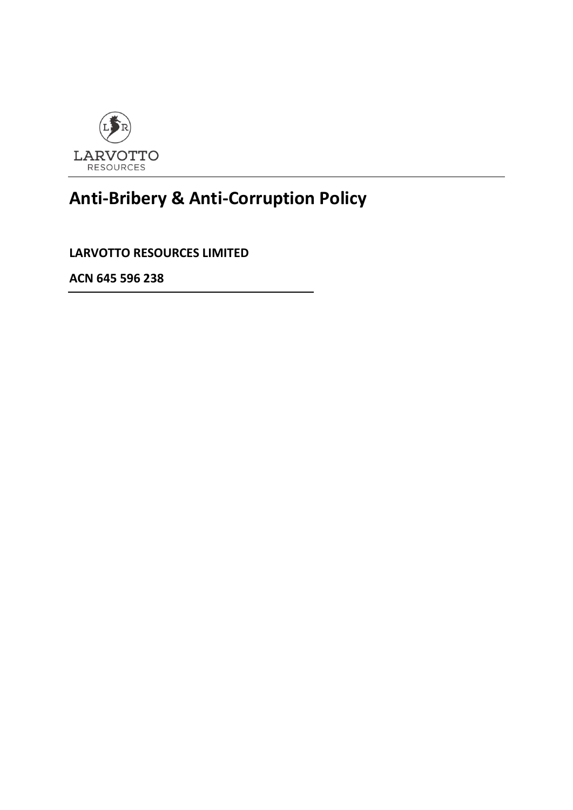

# **Anti-Bribery & Anti-Corruption Policy**

**LARVOTTO RESOURCES LIMITED**

**ACN 645 596 238**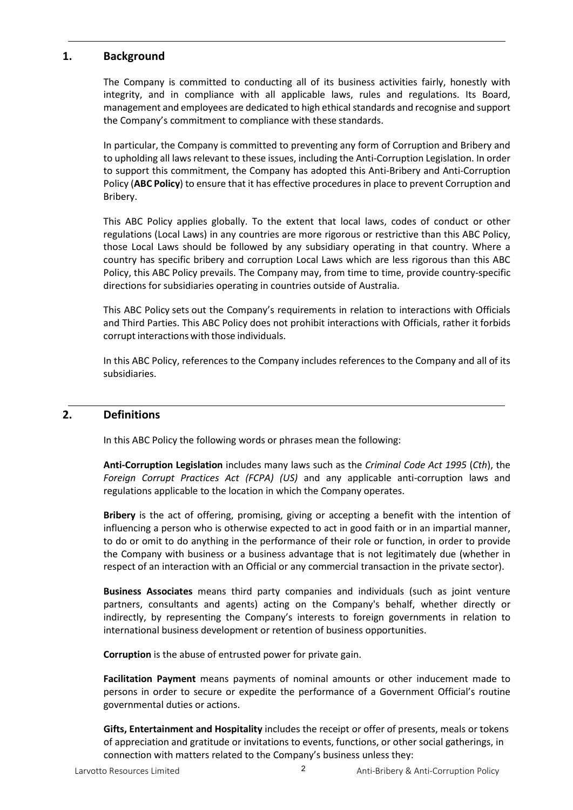## **1. Background**

The Company is committed to conducting all of its business activities fairly, honestly with integrity, and in compliance with all applicable laws, rules and regulations. Its Board, management and employees are dedicated to high ethical standards and recognise and support the Company's commitment to compliance with these standards.

In particular, the Company is committed to preventing any form of Corruption and Bribery and to upholding all laws relevant to these issues, including the Anti-Corruption Legislation. In order to support this commitment, the Company has adopted this Anti-Bribery and Anti-Corruption Policy (**ABC Policy**) to ensure that it has effective procedures in place to prevent Corruption and Bribery.

This ABC Policy applies globally. To the extent that local laws, codes of conduct or other regulations (Local Laws) in any countries are more rigorous or restrictive than this ABC Policy, those Local Laws should be followed by any subsidiary operating in that country. Where a country has specific bribery and corruption Local Laws which are less rigorous than this ABC Policy, this ABC Policy prevails. The Company may, from time to time, provide country-specific directions for subsidiaries operating in countries outside of Australia.

This ABC Policy sets out the Company's requirements in relation to interactions with Officials and Third Parties. This ABC Policy does not prohibit interactions with Officials, rather it forbids corrupt interactions with those individuals.

In this ABC Policy, references to the Company includes references to the Company and all of its subsidiaries.

#### **2. Definitions**

In this ABC Policy the following words or phrases mean the following:

**Anti-Corruption Legislation** includes many laws such as the *Criminal Code Act 1995* (*Cth*), the *Foreign Corrupt Practices Act (FCPA) (US)* and any applicable anti-corruption laws and regulations applicable to the location in which the Company operates.

**Bribery** is the act of offering, promising, giving or accepting a benefit with the intention of influencing a person who is otherwise expected to act in good faith or in an impartial manner, to do or omit to do anything in the performance of their role or function, in order to provide the Company with business or a business advantage that is not legitimately due (whether in respect of an interaction with an Official or any commercial transaction in the private sector).

**Business Associates** means third party companies and individuals (such as joint venture partners, consultants and agents) acting on the Company's behalf, whether directly or indirectly, by representing the Company's interests to foreign governments in relation to international business development or retention of business opportunities.

**Corruption** is the abuse of entrusted power for private gain.

**Facilitation Payment** means payments of nominal amounts or other inducement made to persons in order to secure or expedite the performance of a Government Official's routine governmental duties or actions.

**Gifts, Entertainment and Hospitality** includes the receipt or offer of presents, meals or tokens of appreciation and gratitude or invitations to events, functions, or other social gatherings, in connection with matters related to the Company's business unless they: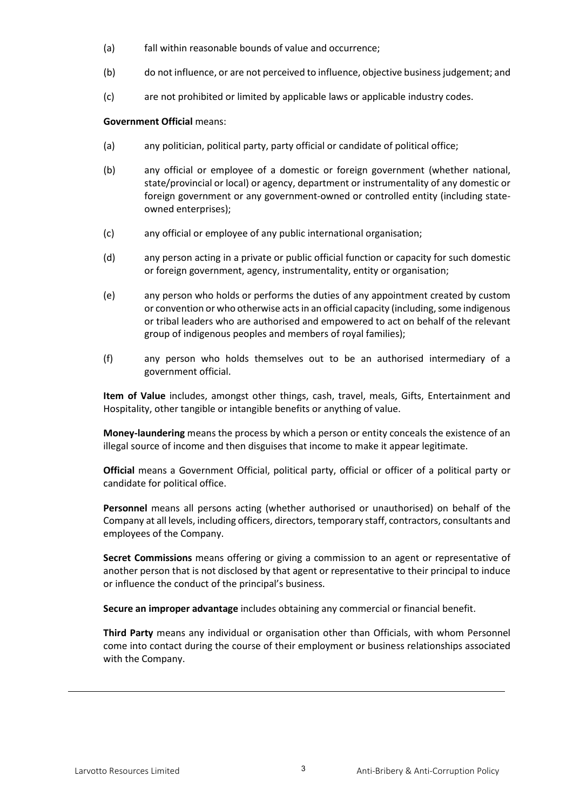- (a) fall within reasonable bounds of value and occurrence;
- (b) do not influence, or are not perceived to influence, objective business judgement; and
- (c) are not prohibited or limited by applicable laws or applicable industry codes.

#### **Government Official** means:

- (a) any politician, political party, party official or candidate of political office;
- (b) any official or employee of a domestic or foreign government (whether national, state/provincial or local) or agency, department or instrumentality of any domestic or foreign government or any government-owned or controlled entity (including stateowned enterprises);
- (c) any official or employee of any public international organisation;
- (d) any person acting in a private or public official function or capacity for such domestic or foreign government, agency, instrumentality, entity or organisation;
- (e) any person who holds or performs the duties of any appointment created by custom or convention or who otherwise acts in an official capacity (including, some indigenous or tribal leaders who are authorised and empowered to act on behalf of the relevant group of indigenous peoples and members of royal families);
- (f) any person who holds themselves out to be an authorised intermediary of a government official.

**Item of Value** includes, amongst other things, cash, travel, meals, Gifts, Entertainment and Hospitality, other tangible or intangible benefits or anything of value.

**Money-laundering** means the process by which a person or entity conceals the existence of an illegal source of income and then disguises that income to make it appear legitimate.

**Official** means a Government Official, political party, official or officer of a political party or candidate for political office.

**Personnel** means all persons acting (whether authorised or unauthorised) on behalf of the Company at all levels, including officers, directors, temporary staff, contractors, consultants and employees of the Company.

**Secret Commissions** means offering or giving a commission to an agent or representative of another person that is not disclosed by that agent or representative to their principal to induce or influence the conduct of the principal's business.

**Secure an improper advantage** includes obtaining any commercial or financial benefit.

**Third Party** means any individual or organisation other than Officials, with whom Personnel come into contact during the course of their employment or business relationships associated with the Company.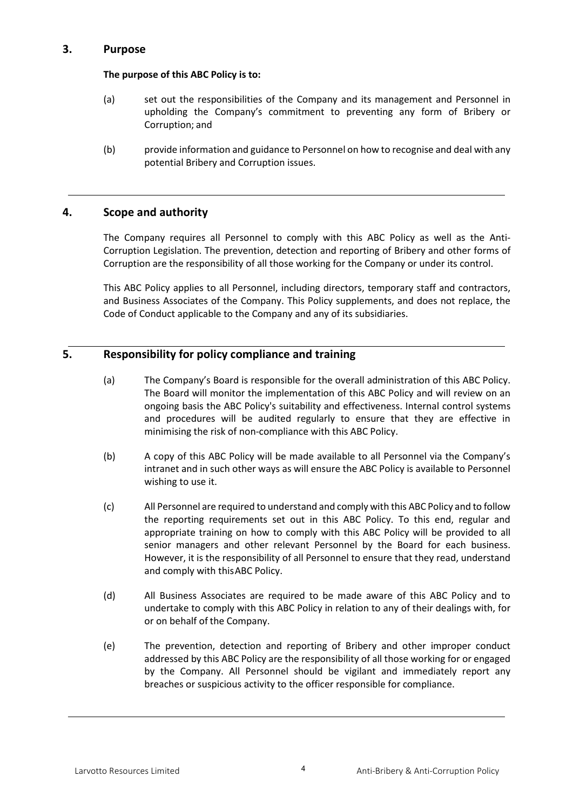## **3. Purpose**

## **The purpose of this ABC Policy is to:**

- (a) set out the responsibilities of the Company and its management and Personnel in upholding the Company's commitment to preventing any form of Bribery or Corruption; and
- (b) provide information and guidance to Personnel on how to recognise and deal with any potential Bribery and Corruption issues.

## **4. Scope and authority**

The Company requires all Personnel to comply with this ABC Policy as well as the Anti-Corruption Legislation. The prevention, detection and reporting of Bribery and other forms of Corruption are the responsibility of all those working for the Company or under its control.

This ABC Policy applies to all Personnel, including directors, temporary staff and contractors, and Business Associates of the Company. This Policy supplements, and does not replace, the Code of Conduct applicable to the Company and any of its subsidiaries.

# **5. Responsibility for policy compliance and training**

- (a) The Company's Board is responsible for the overall administration of this ABC Policy. The Board will monitor the implementation of this ABC Policy and will review on an ongoing basis the ABC Policy's suitability and effectiveness. Internal control systems and procedures will be audited regularly to ensure that they are effective in minimising the risk of non-compliance with this ABC Policy.
- (b) A copy of this ABC Policy will be made available to all Personnel via the Company's intranet and in such other ways as will ensure the ABC Policy is available to Personnel wishing to use it.
- (c) All Personnel are required to understand and comply with this ABC Policy and to follow the reporting requirements set out in this ABC Policy. To this end, regular and appropriate training on how to comply with this ABC Policy will be provided to all senior managers and other relevant Personnel by the Board for each business. However, it is the responsibility of all Personnel to ensure that they read, understand and comply with thisABC Policy.
- (d) All Business Associates are required to be made aware of this ABC Policy and to undertake to comply with this ABC Policy in relation to any of their dealings with, for or on behalf of the Company.
- (e) The prevention, detection and reporting of Bribery and other improper conduct addressed by this ABC Policy are the responsibility of all those working for or engaged by the Company. All Personnel should be vigilant and immediately report any breaches or suspicious activity to the officer responsible for compliance.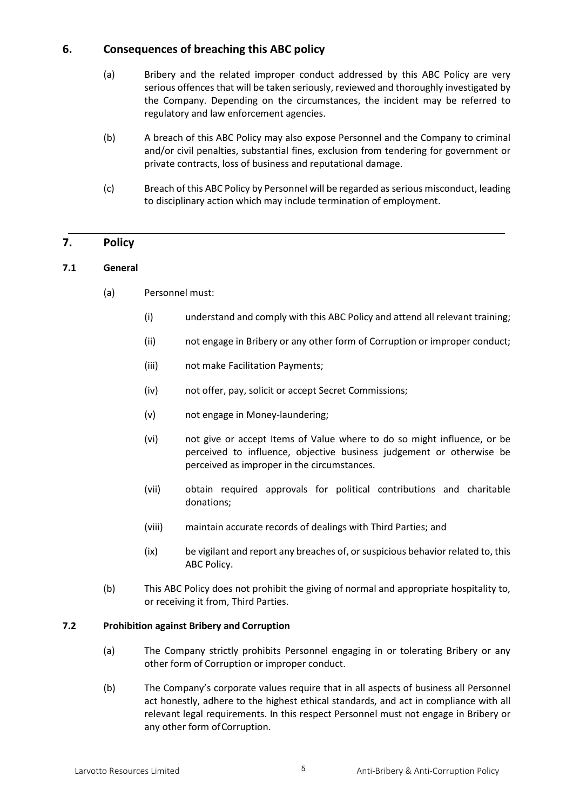# **6. Consequences of breaching this ABC policy**

- (a) Bribery and the related improper conduct addressed by this ABC Policy are very serious offences that will be taken seriously, reviewed and thoroughly investigated by the Company. Depending on the circumstances, the incident may be referred to regulatory and law enforcement agencies.
- (b) A breach of this ABC Policy may also expose Personnel and the Company to criminal and/or civil penalties, substantial fines, exclusion from tendering for government or private contracts, loss of business and reputational damage.
- (c) Breach of this ABC Policy by Personnel will be regarded as serious misconduct, leading to disciplinary action which may include termination of employment.

# **7. Policy**

#### **7.1 General**

- (a) Personnel must:
	- (i) understand and comply with this ABC Policy and attend all relevant training;
	- (ii) not engage in Bribery or any other form of Corruption or improper conduct;
	- (iii) not make Facilitation Payments;
	- (iv) not offer, pay, solicit or accept Secret Commissions;
	- (v) not engage in Money-laundering;
	- (vi) not give or accept Items of Value where to do so might influence, or be perceived to influence, objective business judgement or otherwise be perceived as improper in the circumstances.
	- (vii) obtain required approvals for political contributions and charitable donations;
	- (viii) maintain accurate records of dealings with Third Parties; and
	- (ix) be vigilant and report any breaches of, or suspicious behavior related to, this ABC Policy.
- (b) This ABC Policy does not prohibit the giving of normal and appropriate hospitality to, or receiving it from, Third Parties.

#### **7.2 Prohibition against Bribery and Corruption**

- (a) The Company strictly prohibits Personnel engaging in or tolerating Bribery or any other form of Corruption or improper conduct.
- (b) The Company's corporate values require that in all aspects of business all Personnel act honestly, adhere to the highest ethical standards, and act in compliance with all relevant legal requirements. In this respect Personnel must not engage in Bribery or any other form of Corruption.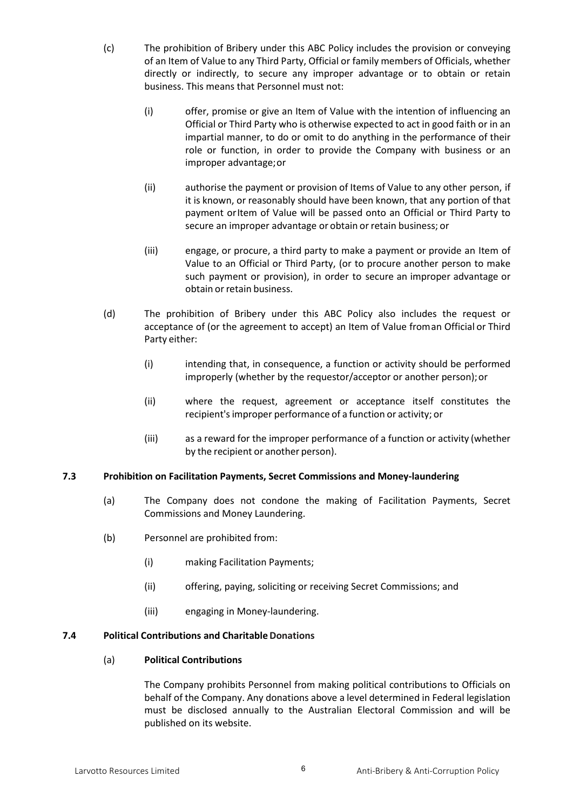- (c) The prohibition of Bribery under this ABC Policy includes the provision or conveying of an Item of Value to any Third Party, Official or family members of Officials, whether directly or indirectly, to secure any improper advantage or to obtain or retain business. This means that Personnel must not:
	- (i) offer, promise or give an Item of Value with the intention of influencing an Official or Third Party who is otherwise expected to act in good faith or in an impartial manner, to do or omit to do anything in the performance of their role or function, in order to provide the Company with business or an improper advantage;or
	- (ii) authorise the payment or provision of Items of Value to any other person, if it is known, or reasonably should have been known, that any portion of that payment or Item of Value will be passed onto an Official or Third Party to secure an improper advantage or obtain or retain business; or
	- (iii) engage, or procure, a third party to make a payment or provide an Item of Value to an Official or Third Party, (or to procure another person to make such payment or provision), in order to secure an improper advantage or obtain or retain business.
- (d) The prohibition of Bribery under this ABC Policy also includes the request or acceptance of (or the agreement to accept) an Item of Value froman Official or Third Party either:
	- (i) intending that, in consequence, a function or activity should be performed improperly (whether by the requestor/acceptor or another person);or
	- (ii) where the request, agreement or acceptance itself constitutes the recipient'simproper performance of a function or activity; or
	- (iii) as a reward for the improper performance of a function or activity (whether by the recipient or another person).

## **7.3 Prohibition on Facilitation Payments, Secret Commissions and Money-laundering**

- (a) The Company does not condone the making of Facilitation Payments, Secret Commissions and Money Laundering.
- (b) Personnel are prohibited from:
	- (i) making Facilitation Payments;
	- (ii) offering, paying, soliciting or receiving Secret Commissions; and
	- (iii) engaging in Money-laundering.

## **7.4 Political Contributions and CharitableDonations**

#### (a) **Political Contributions**

The Company prohibits Personnel from making political contributions to Officials on behalf of the Company. Any donations above a level determined in Federal legislation must be disclosed annually to the Australian Electoral Commission and will be published on its website.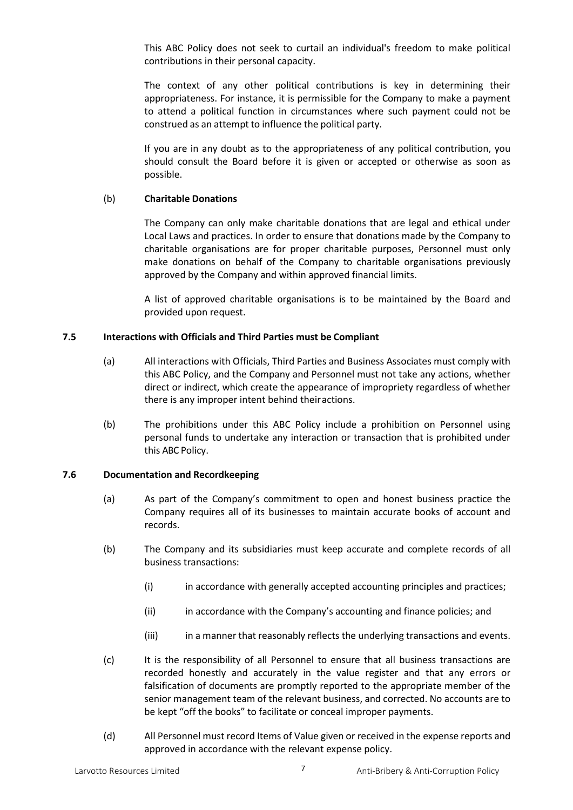This ABC Policy does not seek to curtail an individual's freedom to make political contributions in their personal capacity.

The context of any other political contributions is key in determining their appropriateness. For instance, it is permissible for the Company to make a payment to attend a political function in circumstances where such payment could not be construed as an attempt to influence the political party.

If you are in any doubt as to the appropriateness of any political contribution, you should consult the Board before it is given or accepted or otherwise as soon as possible.

#### (b) **Charitable Donations**

The Company can only make charitable donations that are legal and ethical under Local Laws and practices. In order to ensure that donations made by the Company to charitable organisations are for proper charitable purposes, Personnel must only make donations on behalf of the Company to charitable organisations previously approved by the Company and within approved financial limits.

A list of approved charitable organisations is to be maintained by the Board and provided upon request.

#### **7.5 Interactions with Officials and Third Parties must be Compliant**

- (a) All interactions with Officials, Third Parties and Business Associates must comply with this ABC Policy, and the Company and Personnel must not take any actions, whether direct or indirect, which create the appearance of impropriety regardless of whether there is any improper intent behind theiractions.
- (b) The prohibitions under this ABC Policy include a prohibition on Personnel using personal funds to undertake any interaction or transaction that is prohibited under this ABC Policy.

#### **7.6 Documentation and Recordkeeping**

- (a) As part of the Company's commitment to open and honest business practice the Company requires all of its businesses to maintain accurate books of account and records.
- (b) The Company and its subsidiaries must keep accurate and complete records of all business transactions:
	- (i) in accordance with generally accepted accounting principles and practices;
	- (ii) in accordance with the Company's accounting and finance policies; and
	- (iii) in a manner that reasonably reflects the underlying transactions and events.
- (c) It is the responsibility of all Personnel to ensure that all business transactions are recorded honestly and accurately in the value register and that any errors or falsification of documents are promptly reported to the appropriate member of the senior management team of the relevant business, and corrected. No accounts are to be kept "off the books" to facilitate or conceal improper payments.
- (d) All Personnel must record Items of Value given or received in the expense reports and approved in accordance with the relevant expense policy.